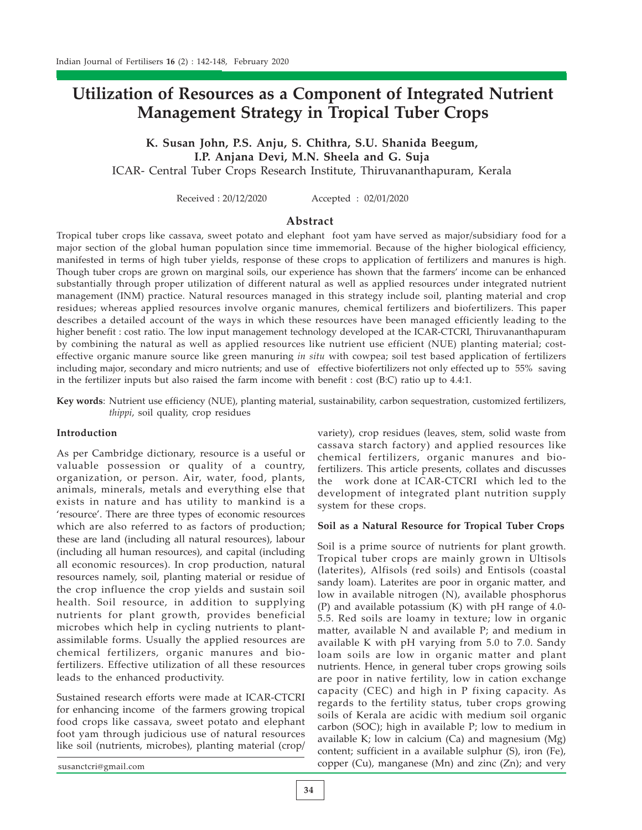# Utilization of Resources as a Component of Integrated Nutrient Management Strategy in Tropical Tuber Crops

K. Susan John, P.S. Anju, S. Chithra, S.U. Shanida Beegum, I.P. Anjana Devi, M.N. Sheela and G. Suja ICAR- Central Tuber Crops Research Institute, Thiruvananthapuram, Kerala

Received : 20/12/2020 Accepted : 02/01/2020

## **Abstract**

Tropical tuber crops like cassava, sweet potato and elephant foot yam have served as major/subsidiary food for a major section of the global human population since time immemorial. Because of the higher biological efficiency, manifested in terms of high tuber yields, response of these crops to application of fertilizers and manures is high. Though tuber crops are grown on marginal soils, our experience has shown that the farmers' income can be enhanced substantially through proper utilization of different natural as well as applied resources under integrated nutrient management (INM) practice. Natural resources managed in this strategy include soil, planting material and crop residues; whereas applied resources involve organic manures, chemical fertilizers and biofertilizers. This paper describes a detailed account of the ways in which these resources have been managed efficiently leading to the higher benefit : cost ratio. The low input management technology developed at the ICAR-CTCRI, Thiruvananthapuram by combining the natural as well as applied resources like nutrient use efficient (NUE) planting material; costeffective organic manure source like green manuring in situ with cowpea; soil test based application of fertilizers including major, secondary and micro nutrients; and use of effective biofertilizers not only effected up to 55% saving in the fertilizer inputs but also raised the farm income with benefit : cost (B:C) ratio up to 4.4:1.

Key words: Nutrient use efficiency (NUE), planting material, sustainability, carbon sequestration, customized fertilizers, thippi, soil quality, crop residues

## Introduction

As per Cambridge dictionary, resource is a useful or valuable possession or quality of a country, organization, or person. Air, water, food, plants, animals, minerals, metals and everything else that exists in nature and has utility to mankind is a 'resource'. There are three types of economic resources which are also referred to as factors of production; these are land (including all natural resources), labour (including all human resources), and capital (including all economic resources). In crop production, natural resources namely, soil, planting material or residue of the crop influence the crop yields and sustain soil health. Soil resource, in addition to supplying nutrients for plant growth, provides beneficial microbes which help in cycling nutrients to plantassimilable forms. Usually the applied resources are chemical fertilizers, organic manures and biofertilizers. Effective utilization of all these resources leads to the enhanced productivity.

Sustained research efforts were made at ICAR-CTCRI for enhancing income of the farmers growing tropical food crops like cassava, sweet potato and elephant foot yam through judicious use of natural resources like soil (nutrients, microbes), planting material (crop/

variety), crop residues (leaves, stem, solid waste from cassava starch factory) and applied resources like chemical fertilizers, organic manures and biofertilizers. This article presents, collates and discusses the work done at ICAR-CTCRI which led to the development of integrated plant nutrition supply system for these crops.

## Soil as a Natural Resource for Tropical Tuber Crops

Soil is a prime source of nutrients for plant growth. Tropical tuber crops are mainly grown in Ultisols (laterites), Alfisols (red soils) and Entisols (coastal sandy loam). Laterites are poor in organic matter, and low in available nitrogen (N), available phosphorus (P) and available potassium (K) with pH range of 4.0- 5.5. Red soils are loamy in texture; low in organic matter, available N and available P; and medium in available K with pH varying from 5.0 to 7.0. Sandy loam soils are low in organic matter and plant nutrients. Hence, in general tuber crops growing soils are poor in native fertility, low in cation exchange capacity (CEC) and high in P fixing capacity. As regards to the fertility status, tuber crops growing soils of Kerala are acidic with medium soil organic carbon (SOC); high in available P; low to medium in available K; low in calcium (Ca) and magnesium (Mg) content; sufficient in a available sulphur (S), iron (Fe), copper (Cu), manganese (Mn) and zinc (Zn); and very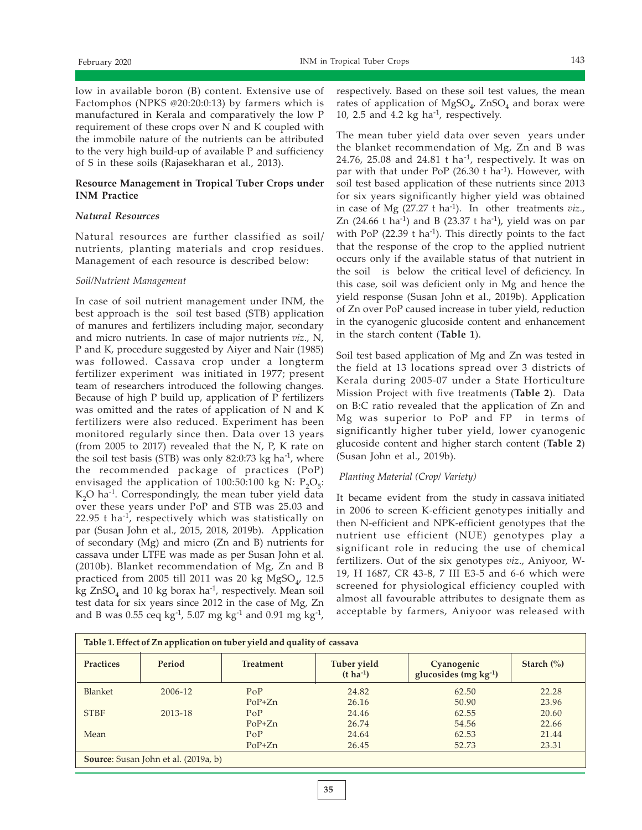low in available boron (B) content. Extensive use of Factomphos (NPKS @20:20:0:13) by farmers which is manufactured in Kerala and comparatively the low P requirement of these crops over N and K coupled with the immobile nature of the nutrients can be attributed to the very high build-up of available P and sufficiency of S in these soils (Rajasekharan et al., 2013).

## Resource Management in Tropical Tuber Crops under INM Practice

# Natural Resources

Natural resources are further classified as soil/ nutrients, planting materials and crop residues. Management of each resource is described below:

## Soil/Nutrient Management

In case of soil nutrient management under INM, the best approach is the soil test based (STB) application of manures and fertilizers including major, secondary and micro nutrients. In case of major nutrients viz., N, P and K, procedure suggested by Aiyer and Nair (1985) was followed. Cassava crop under a longterm fertilizer experiment was initiated in 1977; present team of researchers introduced the following changes. Because of high P build up, application of P fertilizers was omitted and the rates of application of N and K fertilizers were also reduced. Experiment has been monitored regularly since then. Data over 13 years (from 2005 to 2017) revealed that the N, P, K rate on the soil test basis (STB) was only 82:0:73 kg ha<sup>-1</sup>, where the recommended package of practices (PoP) envisaged the application of 100:50:100 kg N:  $P_2O_5$ :  $K_2O$  ha<sup>-1</sup>. Correspondingly, the mean tuber yield data over these years under PoP and STB was 25.03 and 22.95 t ha-1, respectively which was statistically on par (Susan John et al., 2015, 2018, 2019b). Application of secondary (Mg) and micro (Zn and B) nutrients for cassava under LTFE was made as per Susan John et al. (2010b). Blanket recommendation of Mg, Zn and B practiced from 2005 till 2011 was 20 kg  $MgSO_{\nu}$  12.5 kg  $ZnSO_4$  and 10 kg borax ha<sup>-1</sup>, respectively. Mean soil test data for six years since 2012 in the case of Mg, Zn and B was 0.55 ceq kg<sup>-1</sup>, 5.07 mg kg<sup>-1</sup> and 0.91 mg kg<sup>-1</sup>,

respectively. Based on these soil test values, the mean rates of application of  $MgSO_{4}$ , ZnSO<sub>4</sub> and borax were 10, 2.5 and 4.2 kg ha $^{-1}$ , respectively.

The mean tuber yield data over seven years under the blanket recommendation of Mg, Zn and B was 24.76, 25.08 and 24.81 t ha<sup>-1</sup>, respectively. It was on par with that under PoP  $(26.30 \text{ t} \text{ ha}^{-1})$ . However, with soil test based application of these nutrients since 2013 for six years significantly higher yield was obtained in case of Mg (27.27 t ha<sup>-1</sup>). In other treatments  $viz.,$ Zn (24.66 t ha<sup>-1</sup>) and B (23.37 t ha<sup>-1</sup>), yield was on par with PoP  $(22.39 \t{ t} \text{ ha}^{-1})$ . This directly points to the fact that the response of the crop to the applied nutrient occurs only if the available status of that nutrient in the soil is below the critical level of deficiency. In this case, soil was deficient only in Mg and hence the yield response (Susan John et al., 2019b). Application of Zn over PoP caused increase in tuber yield, reduction in the cyanogenic glucoside content and enhancement in the starch content (Table 1).

Soil test based application of Mg and Zn was tested in the field at 13 locations spread over 3 districts of Kerala during 2005-07 under a State Horticulture Mission Project with five treatments (Table 2). Data on B:C ratio revealed that the application of Zn and Mg was superior to PoP and FP in terms of significantly higher tuber yield, lower cyanogenic glucoside content and higher starch content (Table 2) (Susan John et al., 2019b).

## Planting Material (Crop/ Variety)

It became evident from the study in cassava initiated in 2006 to screen K-efficient genotypes initially and then N-efficient and NPK-efficient genotypes that the nutrient use efficient (NUE) genotypes play a significant role in reducing the use of chemical fertilizers. Out of the six genotypes viz., Aniyoor, W-19, H 1687, CR 43-8, 7 III E3-5 and 6-6 which were screened for physiological efficiency coupled with almost all favourable attributes to designate them as acceptable by farmers, Aniyoor was released with

| Table 1. Effect of Zn application on tuber yield and quality of cassava |         |                  |                                      |                                          |                      |  |  |  |  |
|-------------------------------------------------------------------------|---------|------------------|--------------------------------------|------------------------------------------|----------------------|--|--|--|--|
| <b>Practices</b><br>Period                                              |         | <b>Treatment</b> | Tuber yield<br>$(t \text{ ha}^{-1})$ | Cyanogenic<br>glucosides (mg $kg^{-1}$ ) | Starch $\frac{6}{6}$ |  |  |  |  |
| Blanket                                                                 | 2006-12 | PoP              | 24.82                                | 62.50                                    | 22.28                |  |  |  |  |
|                                                                         |         | $PoP+Zn$         | 26.16                                | 50.90                                    | 23.96                |  |  |  |  |
| <b>STBF</b>                                                             | 2013-18 | PoP              | 24.46                                | 62.55                                    | 20.60                |  |  |  |  |
|                                                                         |         | $PoP+Zn$         | 26.74                                | 54.56                                    | 22.66                |  |  |  |  |
| Mean                                                                    |         | PoP              | 24.64                                | 62.53                                    | 21.44                |  |  |  |  |
|                                                                         |         | $PoP+Zn$         | 26.45                                | 52.73                                    | 23.31                |  |  |  |  |
| <b>Source:</b> Susan John et al. (2019a, b)                             |         |                  |                                      |                                          |                      |  |  |  |  |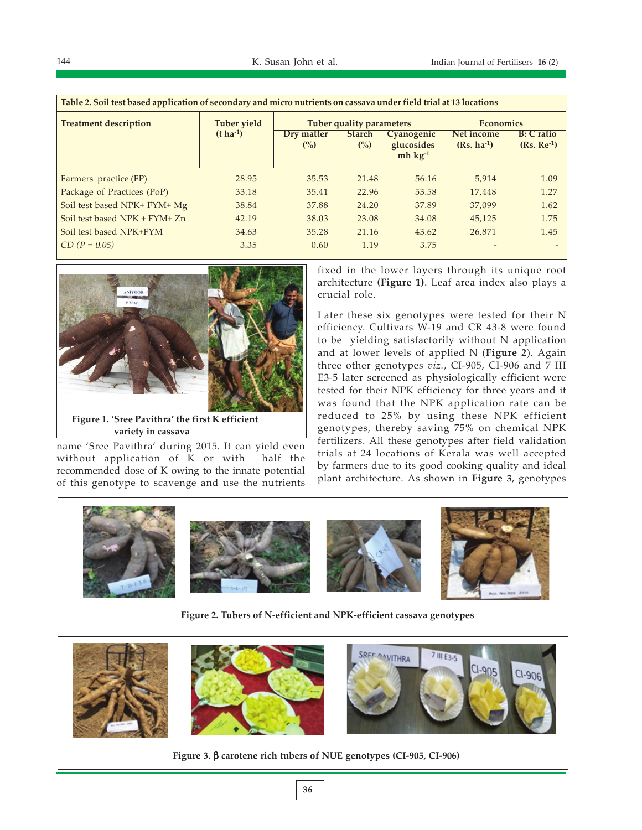| Table 2. Soil test based application of secondary and micro nutrients on cassava under field trial at 13 locations |                       |                      |                                           |                                                   |                               |                                    |  |  |  |
|--------------------------------------------------------------------------------------------------------------------|-----------------------|----------------------|-------------------------------------------|---------------------------------------------------|-------------------------------|------------------------------------|--|--|--|
| <b>Treatment description</b>                                                                                       | <b>Tuber yield</b>    |                      | Tuber quality parameters                  | <b>Economics</b>                                  |                               |                                    |  |  |  |
|                                                                                                                    | $(t \text{ ha}^{-1})$ | Dry matter<br>$($ %) | <b>Starch</b><br>$\frac{\binom{6}{2}}{2}$ | <b>Cyanogenic</b><br>glucosides<br>$mh \ kg^{-1}$ | Net income<br>$(Rs, ha^{-1})$ | <b>B</b> : C ratio<br>$(Rs. Re-1)$ |  |  |  |
| Farmers practice (FP)                                                                                              | 28.95                 | 35.53                | 21.48                                     | 56.16                                             | 5,914                         | 1.09                               |  |  |  |
| Package of Practices (PoP)                                                                                         | 33.18                 | 35.41                | 22.96                                     | 53.58                                             | 17,448                        | 1.27                               |  |  |  |
| Soil test based NPK+ FYM+ Mg                                                                                       | 38.84                 | 37.88                | 24.20                                     | 37.89                                             | 37,099                        | 1.62                               |  |  |  |
| Soil test based NPK + FYM+ Zn                                                                                      | 42.19                 | 38.03                | 23.08                                     | 34.08                                             | 45.125                        | 1.75                               |  |  |  |
| Soil test based NPK+FYM                                                                                            | 34.63                 | 35.28                | 21.16                                     | 43.62                                             | 26,871                        | 1.45                               |  |  |  |
| $CD (P = 0.05)$                                                                                                    | 3.35                  | 0.60                 | 1.19                                      | 3.75                                              |                               |                                    |  |  |  |



Figure 1. 'Sree Pavithra' the first K efficient variety in cassava

name 'Sree Pavithra' during 2015. It can yield even without application of K or with half the recommended dose of K owing to the innate potential of this genotype to scavenge and use the nutrients fixed in the lower layers through its unique root architecture (Figure 1). Leaf area index also plays a crucial role.

Later these six genotypes were tested for their N efficiency. Cultivars W-19 and CR 43-8 were found to be yielding satisfactorily without N application and at lower levels of applied N (Figure 2). Again three other genotypes viz., CI-905, CI-906 and 7 III E3-5 later screened as physiologically efficient were tested for their NPK efficiency for three years and it was found that the NPK application rate can be reduced to 25% by using these NPK efficient genotypes, thereby saving 75% on chemical NPK fertilizers. All these genotypes after field validation trials at 24 locations of Kerala was well accepted by farmers due to its good cooking quality and ideal plant architecture. As shown in Figure 3, genotypes



Figure 2. Tubers of N-efficient and NPK-efficient cassava genotypes



Figure 3. β carotene rich tubers of NUE genotypes (CI-905, CI-906)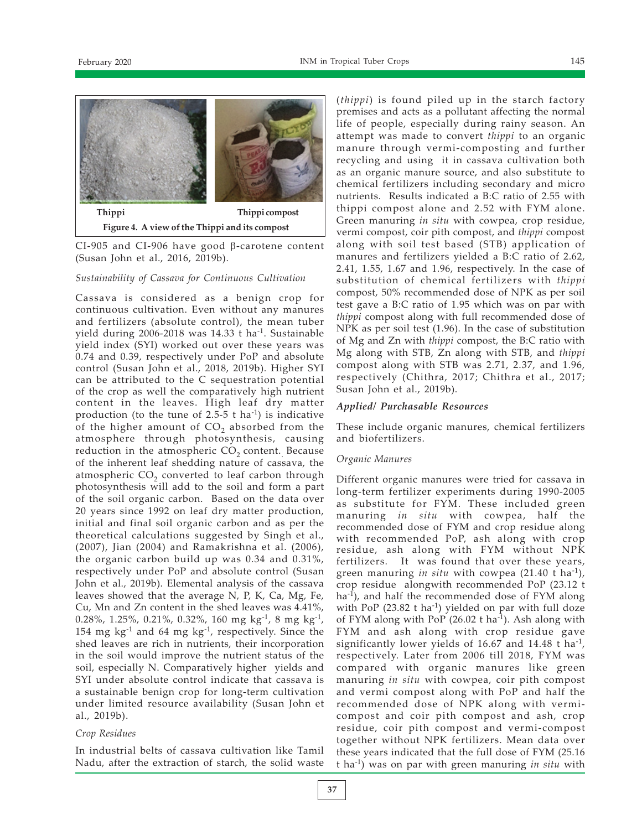

CI-905 and CI-906 have good β-carotene content (Susan John et al., 2016, 2019b).

### Sustainability of Cassava for Continuous Cultivation

Cassava is considered as a benign crop for continuous cultivation. Even without any manures and fertilizers (absolute control), the mean tuber yield during 2006-2018 was 14.33 t ha<sup>-1</sup>. Sustainable yield index (SYI) worked out over these years was 0.74 and 0.39, respectively under PoP and absolute control (Susan John et al., 2018, 2019b). Higher SYI can be attributed to the C sequestration potential of the crop as well the comparatively high nutrient content in the leaves. High leaf dry matter production (to the tune of 2.5-5 t ha<sup>-1</sup>) is indicative of the higher amount of  $CO<sub>2</sub>$  absorbed from the atmosphere through photosynthesis, causing reduction in the atmospheric  $CO<sub>2</sub>$  content. Because of the inherent leaf shedding nature of cassava, the atmospheric  $CO<sub>2</sub>$  converted to leaf carbon through photosynthesis will add to the soil and form a part of the soil organic carbon. Based on the data over 20 years since 1992 on leaf dry matter production, initial and final soil organic carbon and as per the theoretical calculations suggested by Singh et al., (2007), Jian (2004) and Ramakrishna et al. (2006), the organic carbon build up was 0.34 and 0.31%, respectively under PoP and absolute control (Susan John et al., 2019b). Elemental analysis of the cassava leaves showed that the average N, P, K, Ca, Mg, Fe, Cu, Mn and Zn content in the shed leaves was 4.41%, 0.28%, 1.25%, 0.21%, 0.32%, 160 mg kg<sup>-1</sup>, 8 mg kg<sup>-1</sup>, 154 mg  $kg^{-1}$  and 64 mg  $kg^{-1}$ , respectively. Since the shed leaves are rich in nutrients, their incorporation in the soil would improve the nutrient status of the soil, especially N. Comparatively higher yields and SYI under absolute control indicate that cassava is a sustainable benign crop for long-term cultivation under limited resource availability (Susan John et al., 2019b).

#### Crop Residues

In industrial belts of cassava cultivation like Tamil Nadu, after the extraction of starch, the solid waste

(thippi) is found piled up in the starch factory premises and acts as a pollutant affecting the normal life of people, especially during rainy season. An attempt was made to convert thippi to an organic manure through vermi-composting and further recycling and using it in cassava cultivation both as an organic manure source, and also substitute to chemical fertilizers including secondary and micro nutrients. Results indicated a B:C ratio of 2.55 with thippi compost alone and 2.52 with FYM alone. Green manuring in situ with cowpea, crop residue, vermi compost, coir pith compost, and thippi compost along with soil test based (STB) application of manures and fertilizers yielded a B:C ratio of 2.62, 2.41, 1.55, 1.67 and 1.96, respectively. In the case of substitution of chemical fertilizers with thippi compost, 50% recommended dose of NPK as per soil test gave a B:C ratio of 1.95 which was on par with thippi compost along with full recommended dose of NPK as per soil test (1.96). In the case of substitution of Mg and Zn with thippi compost, the B:C ratio with Mg along with STB, Zn along with STB, and thippi compost along with STB was 2.71, 2.37, and 1.96, respectively (Chithra, 2017; Chithra et al., 2017; Susan John et al., 2019b).

## Applied/ Purchasable Resources

These include organic manures, chemical fertilizers and biofertilizers.

## Organic Manures

Different organic manures were tried for cassava in long-term fertilizer experiments during 1990-2005 as substitute for FYM. These included green manuring in situ with cowpea, half the recommended dose of FYM and crop residue along with recommended PoP, ash along with crop residue, ash along with FYM without NPK fertilizers. It was found that over these years, green manuring in situ with cowpea  $(21.40 \text{ t} \text{ ha}^{-1})$ , crop residue alongwith recommended PoP (23.12 t ha<sup>-1</sup>), and half the recommended dose of FYM along with PoP  $(23.82 \text{ t} \text{ ha}^{-1})$  yielded on par with full doze of FYM along with PoP (26.02 t ha<sup>-1</sup>). Ash along with FYM and ash along with crop residue gave significantly lower yields of 16.67 and 14.48 t ha<sup>-1</sup>, respectively. Later from 2006 till 2018, FYM was compared with organic manures like green manuring in situ with cowpea, coir pith compost and vermi compost along with PoP and half the recommended dose of NPK along with vermicompost and coir pith compost and ash, crop residue, coir pith compost and vermi-compost together without NPK fertilizers. Mean data over these years indicated that the full dose of FYM (25.16 t ha<sup>-1</sup>) was on par with green manuring *in situ* with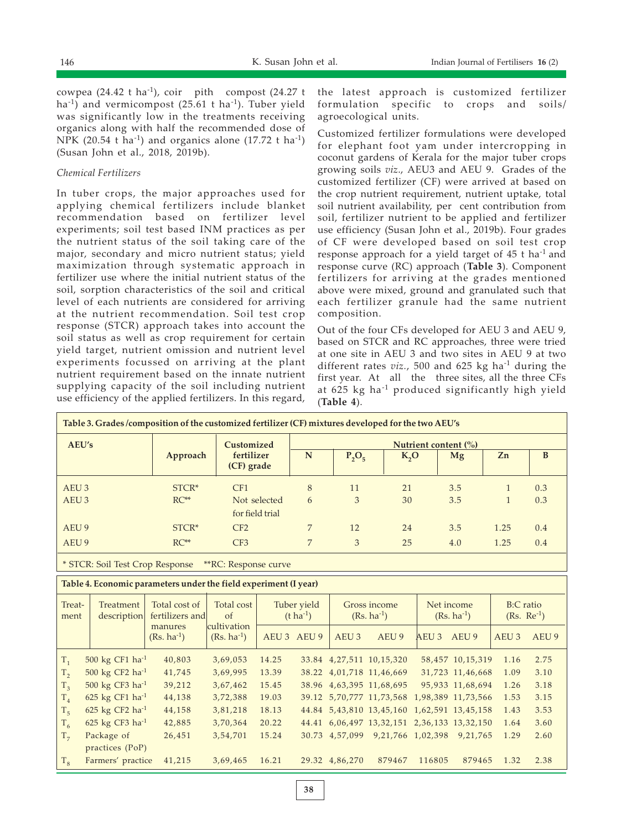cowpea (24.42 t ha<sup>-1</sup>), coir pith compost (24.27 t ha<sup>-1</sup>) and vermicompost (25.61 t ha<sup>-1</sup>). Tuber yield was significantly low in the treatments receiving organics along with half the recommended dose of NPK (20.54 t ha<sup>-1</sup>) and organics alone (17.72 t ha<sup>-1</sup>) (Susan John et al., 2018, 2019b).

## Chemical Fertilizers

In tuber crops, the major approaches used for applying chemical fertilizers include blanket recommendation based on fertilizer level experiments; soil test based INM practices as per the nutrient status of the soil taking care of the major, secondary and micro nutrient status; yield maximization through systematic approach in fertilizer use where the initial nutrient status of the soil, sorption characteristics of the soil and critical level of each nutrients are considered for arriving at the nutrient recommendation. Soil test crop response (STCR) approach takes into account the soil status as well as crop requirement for certain yield target, nutrient omission and nutrient level experiments focussed on arriving at the plant nutrient requirement based on the innate nutrient supplying capacity of the soil including nutrient use efficiency of the applied fertilizers. In this regard,

the latest approach is customized fertilizer formulation specific to crops and soils/ agroecological units.

Customized fertilizer formulations were developed for elephant foot yam under intercropping in coconut gardens of Kerala for the major tuber crops growing soils viz., AEU3 and AEU 9. Grades of the customized fertilizer (CF) were arrived at based on the crop nutrient requirement, nutrient uptake, total soil nutrient availability, per cent contribution from soil, fertilizer nutrient to be applied and fertilizer use efficiency (Susan John et al., 2019b). Four grades of CF were developed based on soil test crop response approach for a yield target of 45 t ha-1 and response curve (RC) approach (Table 3). Component fertilizers for arriving at the grades mentioned above were mixed, ground and granulated such that each fertilizer granule had the same nutrient composition.

Out of the four CFs developed for AEU 3 and AEU 9, based on STCR and RC approaches, three were tried at one site in AEU 3 and two sites in AEU 9 at two different rates  $viz.$ , 500 and 625 kg ha<sup>-1</sup> during the first year. At all the three sites, all the three CFs at 625 kg ha-1 produced significantly high yield (Table 4).

| Table 3. Grades /composition of the customized fertilizer (CF) mixtures developed for the two AEU's |          |                                        |                                 |          |      |     |      |     |  |
|-----------------------------------------------------------------------------------------------------|----------|----------------------------------------|---------------------------------|----------|------|-----|------|-----|--|
| AEU's                                                                                               | Approach | Customized<br>fertilizer<br>(CF) grade | Nutrient content $\binom{0}{0}$ |          |      |     |      |     |  |
|                                                                                                     |          |                                        | N                               | $P_2O_5$ | K, O | Mg  | Zn   | B   |  |
| AEU <sub>3</sub>                                                                                    | $STCR*$  | CF1                                    | 8                               | 11       | 21   | 3.5 |      | 0.3 |  |
| AEU <sub>3</sub>                                                                                    | $RC**$   | Not selected                           | 6                               | 3        | 30   | 3.5 |      | 0.3 |  |
|                                                                                                     |          | for field trial                        |                                 |          |      |     |      |     |  |
| AEU 9                                                                                               | $STCR*$  | CF2                                    |                                 | 12       | 24   | 3.5 | 1.25 | 0.4 |  |
| AEU 9                                                                                               | $RC**$   | CF <sub>3</sub>                        | 7                               | 3        | 25   | 4.0 | 1.25 | 0.4 |  |
|                                                                                                     |          |                                        |                                 |          |      |     |      |     |  |

\* STCR: Soil Test Crop Response \*\*RC: Response curve

Table 4. Economic parameters under the field experiment (I year)

| Treat-<br>ment | Treatment<br>description      | Total cost of<br>fertilizers and | Total cost<br>$\alpha$         |       | Tuber yield<br>$(t \text{ ha}^{-1})$ |                  | Gross income<br>$(Rs. ha^{-1})$                     |                  | Net income<br>$(Rs. ha^{-1})$ | B:C ratio<br>$(Rs. Re^{-1})$ |       |
|----------------|-------------------------------|----------------------------------|--------------------------------|-------|--------------------------------------|------------------|-----------------------------------------------------|------------------|-------------------------------|------------------------------|-------|
|                |                               | manures<br>$(Rs. ha^{-1})$       | cultivation<br>$(Rs. ha^{-1})$ |       | AEU 3 AEU 9                          | AEU <sub>3</sub> | AEU 9                                               | AEU <sub>3</sub> | AEU 9                         | AEU <sub>3</sub>             | AEU 9 |
| $T_1$          | 500 kg CF1 ha <sup>-1</sup>   | 40,803                           | 3,69,053                       | 14.25 |                                      |                  | 33.84 4,27,511 10,15,320                            |                  | 58,457 10,15,319              | 1.16                         | 2.75  |
| $T_{2}$        | 500 kg CF2 ha <sup>-1</sup>   | 41,745                           | 3,69,995                       | 13.39 |                                      |                  | 38.22 4,01,718 11,46,669                            |                  | 31,723 11,46,668              | 1.09                         | 3.10  |
| $T_3$          | 500 kg CF3 ha <sup>-1</sup>   | 39,212                           | 3,67,462                       | 15.45 |                                      |                  | 38.96 4,63,395 11,68,695                            |                  | 95,933 11,68,694              | 1.26                         | 3.18  |
| $T_{4}$        | 625 kg CF1 $ha^{-1}$          | 44,138                           | 3,72,388                       | 19.03 |                                      |                  | 39.12 5, 70, 777 11, 73, 568 1, 98, 389 11, 73, 566 |                  |                               | 1.53                         | 3.15  |
| T <sub>5</sub> | 625 kg CF2 $ha^{-1}$          | 44,158                           | 3,81,218                       | 18.13 |                                      |                  | 44.84 5,43,810 13,45,160 1,62,591 13,45,158         |                  |                               | 1.43                         | 3.53  |
| $T_6$          | 625 kg $CF3$ ha <sup>-1</sup> | 42,885                           | 3,70,364                       | 20.22 |                                      |                  | 44.41 6,06,497 13,32,151 2,36,133 13,32,150         |                  |                               | 1.64                         | 3.60  |
| T <sub>7</sub> | Package of                    | 26,451                           | 3,54,701                       | 15.24 | 30.73                                | 4,57,099         | 9,21,766 1,02,398                                   |                  | 9,21,765                      | 1.29                         | 2.60  |
|                | practices (PoP)               |                                  |                                |       |                                      |                  |                                                     |                  |                               |                              |       |
| $T_{\rm g}$    | Farmers' practice             | 41,215                           | 3,69,465                       | 16.21 |                                      | 29.32 4,86,270   | 879467                                              | 116805           | 879465                        | 1.32                         | 2.38  |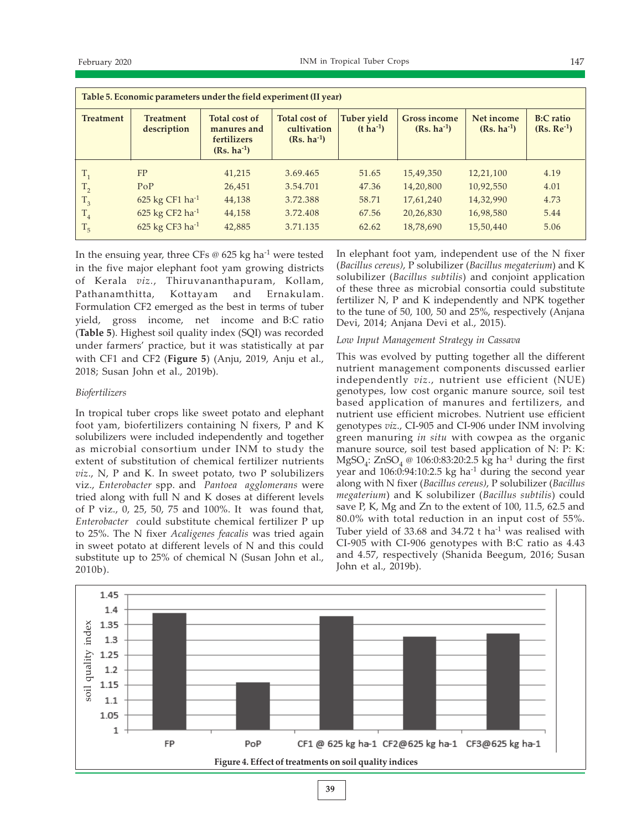| Table 5. Economic parameters under the field experiment (II year) |                                 |                                                                |                                                 |                                        |                                        |                               |                                     |  |  |  |
|-------------------------------------------------------------------|---------------------------------|----------------------------------------------------------------|-------------------------------------------------|----------------------------------------|----------------------------------------|-------------------------------|-------------------------------------|--|--|--|
| <b>Treatment</b>                                                  | <b>Treatment</b><br>description | Total cost of<br>manures and<br>fertilizers<br>$(Rs. ha^{-1})$ | Total cost of<br>cultivation<br>$(Rs. ha^{-1})$ | <b>Tuber yield</b><br>$(t \, ha^{-1})$ | <b>Gross income</b><br>$(Rs. ha^{-1})$ | Net income<br>$(Rs. ha^{-1})$ | <b>B:C</b> ratio<br>$(Rs, Re^{-1})$ |  |  |  |
|                                                                   | FP                              | 41,215                                                         | 3.69.465                                        | 51.65                                  | 15,49,350                              | 12,21,100                     | 4.19                                |  |  |  |
| T <sub>2</sub>                                                    | PoP                             | 26,451                                                         | 3.54.701                                        | 47.36                                  | 14,20,800                              | 10,92,550                     | 4.01                                |  |  |  |
| $T_3$                                                             | 625 kg CF1 ha-1                 | 44,138                                                         | 3.72.388                                        | 58.71                                  | 17,61,240                              | 14,32,990                     | 4.73                                |  |  |  |
| T <sub>4</sub>                                                    | 625 kg CF2 ha $^{-1}$           | 44,158                                                         | 3.72.408                                        | 67.56                                  | 20,26,830                              | 16,98,580                     | 5.44                                |  |  |  |
| T <sub>5</sub>                                                    | 625 kg CF3 ha $^{-1}$           | 42,885                                                         | 3.71.135                                        | 62.62                                  | 18,78,690                              | 15,50,440                     | 5.06                                |  |  |  |

In the ensuing year, three CFs  $\omega$  625 kg ha<sup>-1</sup> were tested in the five major elephant foot yam growing districts of Kerala viz., Thiruvananthapuram, Kollam, Pathanamthitta, Kottayam and Ernakulam. Formulation CF2 emerged as the best in terms of tuber yield, gross income, net income and B:C ratio (Table 5). Highest soil quality index (SQI) was recorded under farmers' practice, but it was statistically at par with CF1 and CF2 (Figure 5) (Anju, 2019, Anju et al., 2018; Susan John et al., 2019b).

## Biofertilizers

In tropical tuber crops like sweet potato and elephant foot yam, biofertilizers containing N fixers, P and K solubilizers were included independently and together as microbial consortium under INM to study the extent of substitution of chemical fertilizer nutrients viz., N, P and K. In sweet potato, two P solubilizers viz., Enterobacter spp. and Pantoea agglomerans were tried along with full N and K doses at different levels of P viz., 0, 25, 50, 75 and 100%. It was found that, Enterobacter could substitute chemical fertilizer P up to 25%. The N fixer Acaligenes feacalis was tried again in sweet potato at different levels of N and this could substitute up to 25% of chemical N (Susan John et al., 2010b).

In elephant foot yam, independent use of the N fixer (Bacillus cereus), P solubilizer (Bacillus megaterium) and K solubilizer (Bacillus subtilis) and conjoint application of these three as microbial consortia could substitute fertilizer N, P and K independently and NPK together to the tune of 50, 100, 50 and 25%, respectively (Anjana Devi, 2014; Anjana Devi et al., 2015).

# Low Input Management Strategy in Cassava

This was evolved by putting together all the different nutrient management components discussed earlier independently viz., nutrient use efficient (NUE) genotypes, low cost organic manure source, soil test based application of manures and fertilizers, and nutrient use efficient microbes. Nutrient use efficient genotypes viz., CI-905 and CI-906 under INM involving green manuring in situ with cowpea as the organic manure source, soil test based application of N: P: K: MgSO<sub>4</sub>: ZnSO<sub>4</sub> @ 106:0:83:20:2.5 kg ha<sup>-1</sup> during the first year and  $106:0:94:10:2.5$  kg ha<sup>-1</sup> during the second year along with N fixer (Bacillus cereus), P solubilizer (Bacillus megaterium) and K solubilizer (Bacillus subtilis) could save P, K, Mg and Zn to the extent of 100, 11.5, 62.5 and 80.0% with total reduction in an input cost of 55%. Tuber yield of 33.68 and 34.72  $t$  ha<sup>-1</sup> was realised with CI-905 with CI-906 genotypes with B:C ratio as 4.43 and 4.57, respectively (Shanida Beegum, 2016; Susan John et al., 2019b).